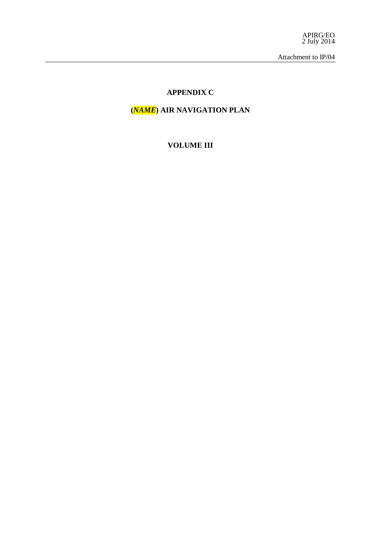APIRG/EO 2 July 2014

Attachment to IP/04

## **APPENDIX C**

# **(***NAME***) AIR NAVIGATION PLAN**

**VOLUME III**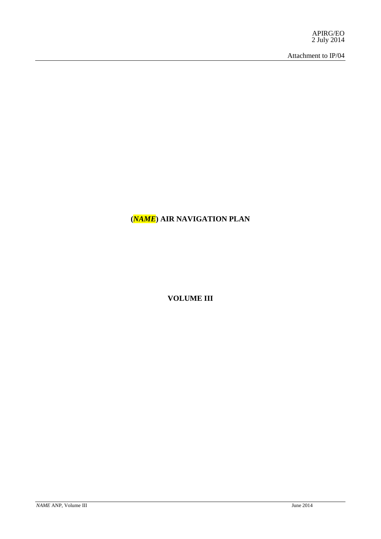APIRG/EO 2 July 2014

Attachment to IP/04

# **(***NAME***) AIR NAVIGATION PLAN**

**VOLUME III**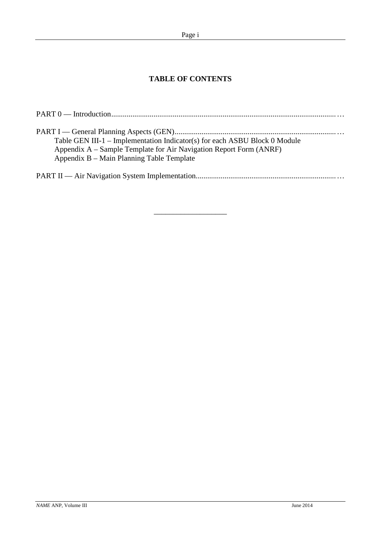# **TABLE OF CONTENTS**

| Table GEN III-1 – Implementation Indicator(s) for each ASBU Block 0 Module<br>Appendix A – Sample Template for Air Navigation Report Form (ANRF)<br>Appendix B – Main Planning Table Template |
|-----------------------------------------------------------------------------------------------------------------------------------------------------------------------------------------------|
|                                                                                                                                                                                               |

\_\_\_\_\_\_\_\_\_\_\_\_\_\_\_\_\_\_\_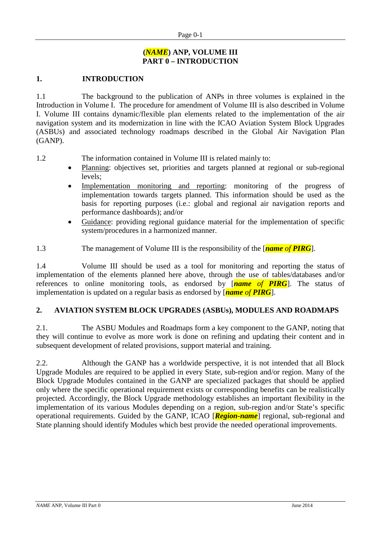### **(***NAME***) ANP, VOLUME III PART 0 – INTRODUCTION**

#### **1. INTRODUCTION**

1.1 The background to the publication of ANPs in three volumes is explained in the Introduction in Volume I. The procedure for amendment of Volume III is also described in Volume I. Volume III contains dynamic/flexible plan elements related to the implementation of the air navigation system and its modernization in line with the ICAO Aviation System Block Upgrades (ASBUs) and associated technology roadmaps described in the Global Air Navigation Plan (GANP).

1.2 The information contained in Volume III is related mainly to:

- Planning: objectives set, priorities and targets planned at regional or sub-regional levels;
- Implementation monitoring and reporting: monitoring of the progress of implementation towards targets planned. This information should be used as the basis for reporting purposes (i.e.: global and regional air navigation reports and performance dashboards); and/or
- Guidance: providing regional guidance material for the implementation of specific system/procedures in a harmonized manner.

1.3 The management of Volume III is the responsibility of the [*name of PIRG*].

1.4 Volume III should be used as a tool for monitoring and reporting the status of implementation of the elements planned here above, through the use of tables/databases and/or references to online monitoring tools, as endorsed by [*name of PIRG*]. The status of implementation is updated on a regular basis as endorsed by [*name of PIRG*].

### **2. AVIATION SYSTEM BLOCK UPGRADES (ASBUs), MODULES AND ROADMAPS**

2.1. The ASBU Modules and Roadmaps form a key component to the GANP, noting that they will continue to evolve as more work is done on refining and updating their content and in subsequent development of related provisions, support material and training.

2.2. Although the GANP has a worldwide perspective, it is not intended that all Block Upgrade Modules are required to be applied in every State, sub-region and/or region. Many of the Block Upgrade Modules contained in the GANP are specialized packages that should be applied only where the specific operational requirement exists or corresponding benefits can be realistically projected. Accordingly, the Block Upgrade methodology establishes an important flexibility in the implementation of its various Modules depending on a region, sub-region and/or State's specific operational requirements. Guided by the GANP, ICAO [*Region-name*] regional, sub-regional and State planning should identify Modules which best provide the needed operational improvements.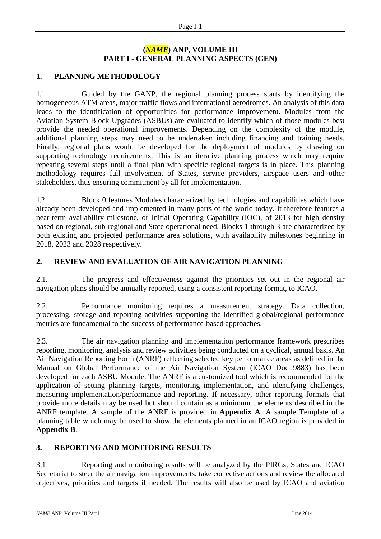# **(***NAME***) ANP, VOLUME III PART I - GENERAL PLANNING ASPECTS (GEN)**

## **1. PLANNING METHODOLOGY**

1.1 Guided by the GANP, the regional planning process starts by identifying the homogeneous ATM areas, major traffic flows and international aerodromes. An analysis of this data leads to the identification of opportunities for performance improvement. Modules from the Aviation System Block Upgrades (ASBUs) are evaluated to identify which of those modules best provide the needed operational improvements. Depending on the complexity of the module, additional planning steps may need to be undertaken including financing and training needs. Finally, regional plans would be developed for the deployment of modules by drawing on supporting technology requirements. This is an iterative planning process which may require repeating several steps until a final plan with specific regional targets is in place. This planning methodology requires full involvement of States, service providers, airspace users and other stakeholders, thus ensuring commitment by all for implementation.

1.2 Block 0 features Modules characterized by technologies and capabilities which have already been developed and implemented in many parts of the world today. It therefore features a near-term availability milestone, or Initial Operating Capability (IOC), of 2013 for high density based on regional, sub-regional and State operational need. Blocks 1 through 3 are characterized by both existing and projected performance area solutions, with availability milestones beginning in 2018, 2023 and 2028 respectively.

# **2. REVIEW AND EVALUATION OF AIR NAVIGATION PLANNING**

2.1. The progress and effectiveness against the priorities set out in the regional air navigation plans should be annually reported, using a consistent reporting format, to ICAO.

2.2. Performance monitoring requires a measurement strategy. Data collection, processing, storage and reporting activities supporting the identified global/regional performance metrics are fundamental to the success of performance-based approaches.

2.3. The air navigation planning and implementation performance framework prescribes reporting, monitoring, analysis and review activities being conducted on a cyclical, annual basis. An Air Navigation Reporting Form (ANRF) reflecting selected key performance areas as defined in the Manual on Global Performance of the Air Navigation System (ICAO Doc 9883) has been developed for each ASBU Module. The ANRF is a customized tool which is recommended for the application of setting planning targets, monitoring implementation, and identifying challenges, measuring implementation/performance and reporting. If necessary, other reporting formats that provide more details may be used but should contain as a minimum the elements described in the ANRF template. A sample of the ANRF is provided in **Appendix A**. A sample Template of a planning table which may be used to show the elements planned in an ICAO region is provided in **Appendix B**.

# **3. REPORTING AND MONITORING RESULTS**

3.1 Reporting and monitoring results will be analyzed by the PIRGs, States and ICAO Secretariat to steer the air navigation improvements, take corrective actions and review the allocated objectives, priorities and targets if needed. The results will also be used by ICAO and aviation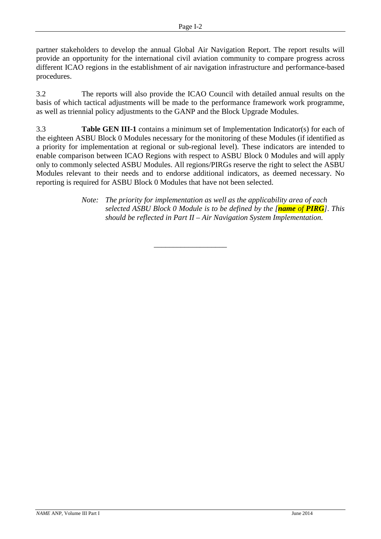partner stakeholders to develop the annual Global Air Navigation Report. The report results will provide an opportunity for the international civil aviation community to compare progress across different ICAO regions in the establishment of air navigation infrastructure and performance-based procedures.

3.2 The reports will also provide the ICAO Council with detailed annual results on the basis of which tactical adjustments will be made to the performance framework work programme, as well as triennial policy adjustments to the GANP and the Block Upgrade Modules.

3.3 **Table GEN III-1** contains a minimum set of Implementation Indicator(s) for each of the eighteen ASBU Block 0 Modules necessary for the monitoring of these Modules (if identified as a priority for implementation at regional or sub-regional level). These indicators are intended to enable comparison between ICAO Regions with respect to ASBU Block 0 Modules and will apply only to commonly selected ASBU Modules. All regions/PIRGs reserve the right to select the ASBU Modules relevant to their needs and to endorse additional indicators, as deemed necessary. No reporting is required for ASBU Block 0 Modules that have not been selected.

\_\_\_\_\_\_\_\_\_\_\_\_\_\_\_\_\_\_\_

*Note: The priority for implementation as well as the applicability area of each selected ASBU Block 0 Module is to be defined by the [name of PIRG]. This should be reflected in Part II – Air Navigation System Implementation.*

*NAME* ANP, Volume III Part I June 2014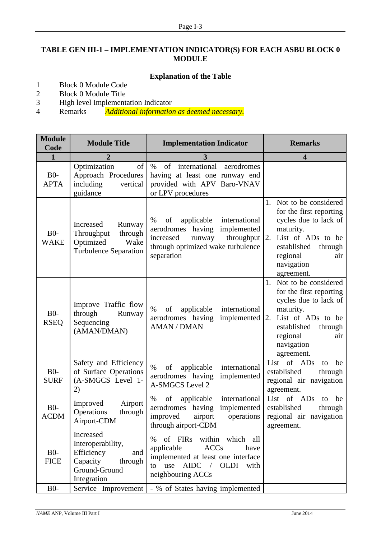# **TABLE GEN III-1 – IMPLEMENTATION INDICATOR(S) FOR EACH ASBU BLOCK 0 MODULE**

# **Explanation of the Table**

- 1 Block 0 Module Code
- 2 Block 0 Module Title<br>3 High level Implement
- 3 High level Implementation Indicator<br>4 Remarks *Additional information*
- 4 Remarks *Additional information as deemed necessary.*

| <b>Module</b><br>Code | <b>Module Title</b>                                                                                        | <b>Implementation Indicator</b>                                                                                                                                    | <b>Remarks</b>                                                                                                                                                                                  |  |
|-----------------------|------------------------------------------------------------------------------------------------------------|--------------------------------------------------------------------------------------------------------------------------------------------------------------------|-------------------------------------------------------------------------------------------------------------------------------------------------------------------------------------------------|--|
| $\mathbf{1}$          | 2                                                                                                          | 3                                                                                                                                                                  | $\overline{\mathbf{4}}$                                                                                                                                                                         |  |
| $B0-$<br><b>APTA</b>  | Optimization<br>of<br>Approach Procedures<br>including<br>vertical<br>guidance                             | international<br>$\%$<br>of<br>aerodromes<br>having at least one runway end<br>provided with APV Baro-VNAV<br>or LPV procedures                                    |                                                                                                                                                                                                 |  |
| $B0-$<br><b>WAKE</b>  | Increased<br>Runway<br>Throughput<br>through<br>Optimized<br>Wake<br><b>Turbulence Separation</b>          | applicable<br>international<br>%<br>of<br>aerodromes having<br>implemented<br>increased<br>throughput<br>runway<br>through optimized wake turbulence<br>separation | 1. Not to be considered<br>for the first reporting<br>cycles due to lack of<br>maturity.<br>List of ADs to be<br> 2.<br>established<br>through<br>regional<br>air<br>navigation<br>agreement.   |  |
| $B0-$<br><b>RSEQ</b>  | Improve Traffic flow<br>through<br>Runway<br>Sequencing<br>(AMAN/DMAN)                                     | $\%$<br>of<br>applicable<br>international<br>aerodromes having<br>implemented<br><b>AMAN / DMAN</b>                                                                | Not to be considered<br>1.<br>for the first reporting<br>cycles due to lack of<br>maturity.<br>List of ADs to be<br>2.<br>established<br>through<br>regional<br>air<br>navigation<br>agreement. |  |
| $B0-$<br><b>SURF</b>  | Safety and Efficiency<br>of Surface Operations<br>(A-SMGCS Level 1-<br>(2)                                 | $\%$<br>international<br>of<br>applicable<br>aerodromes having<br>implemented<br>A-SMGCS Level 2                                                                   | List of ADs<br>be<br>to<br>established<br>through<br>regional air navigation<br>agreement.                                                                                                      |  |
| $B0-$<br><b>ACDM</b>  | Airport<br>Improved<br>Operations<br>through<br>Airport-CDM                                                | of<br>$\%$<br>international<br>applicable<br>aerodromes<br>implemented<br>having<br>improved<br>airport<br>operations<br>through airport-CDM                       | List of ADs<br>be<br>to<br>established<br>through<br>regional air navigation<br>agreement.                                                                                                      |  |
| $B0-$<br><b>FICE</b>  | Increased<br>Interoperability,<br>Efficiency<br>and<br>Capacity<br>through<br>Ground-Ground<br>Integration | of FIRs within which all<br>$\%$<br>applicable<br><b>ACCs</b><br>have<br>implemented at least one interface<br>to use<br>AIDC / OLDI with<br>neighbouring ACCs     |                                                                                                                                                                                                 |  |
| B <sub>0</sub>        | Service Improvement                                                                                        | - % of States having implemented                                                                                                                                   |                                                                                                                                                                                                 |  |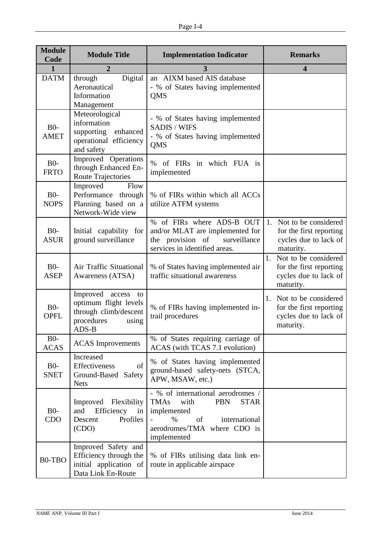| <b>Module</b><br>Code | <b>Module Title</b>                                                                                     | <b>Implementation Indicator</b>                                                                                                                                                   |                                                                                             |
|-----------------------|---------------------------------------------------------------------------------------------------------|-----------------------------------------------------------------------------------------------------------------------------------------------------------------------------------|---------------------------------------------------------------------------------------------|
| 1                     | $\overline{2}$                                                                                          |                                                                                                                                                                                   | $\overline{\mathbf{4}}$                                                                     |
| <b>DATM</b>           | Digital<br>through<br>Aeronautical<br>Information<br>Management                                         | an AIXM based AIS database<br>- % of States having implemented<br><b>QMS</b>                                                                                                      |                                                                                             |
| $B0-$<br><b>AMET</b>  | Meteorological<br>information<br>supporting<br>enhanced<br>operational efficiency<br>and safety         | - % of States having implemented<br><b>SADIS / WIFS</b><br>- % of States having implemented<br>QMS                                                                                |                                                                                             |
| $B0-$<br><b>FRTO</b>  | Improved Operations<br>through Enhanced En-<br><b>Route Trajectories</b>                                | $\%$<br>of FIRs in which FUA is<br>implemented                                                                                                                                    |                                                                                             |
| $B0-$<br><b>NOPS</b>  | Improved<br>Flow<br>Performance through<br>Planning based on a<br>Network-Wide view                     | % of FIRs within which all ACCs<br>utilize ATFM systems                                                                                                                           |                                                                                             |
| $B0-$<br><b>ASUR</b>  | Initial capability for<br>ground surveillance                                                           | % of FIRs where ADS-B OUT<br>and/or MLAT are implemented for<br>the provision of<br>surveillance<br>services in identified areas.                                                 | Not to be considered<br>1.<br>for the first reporting<br>cycles due to lack of<br>maturity. |
| $B0-$<br><b>ASEP</b>  | Air Traffic Situational<br>Awareness (ATSA)                                                             | % of States having implemented air<br>traffic situational awareness                                                                                                               | Not to be considered<br>1.<br>for the first reporting<br>cycles due to lack of<br>maturity. |
| $B0-$<br><b>OPFL</b>  | Improved access<br>to<br>optimum flight levels<br>through climb/descent<br>procedures<br>using<br>ADS-B | % of FIRs having implemented in-<br>trail procedures                                                                                                                              | 1.<br>Not to be considered<br>for the first reporting<br>cycles due to lack of<br>maturity. |
| $B0-$<br><b>ACAS</b>  | <b>ACAS</b> Improvements                                                                                | % of States requiring carriage of<br>ACAS (with TCAS 7.1 evolution)                                                                                                               |                                                                                             |
| $B0-$<br><b>SNET</b>  | Increased<br>Effectiveness<br>of<br>Ground-Based<br>Safety<br><b>Nets</b>                               | % of States having implemented<br>ground-based safety-nets (STCA,<br>APW, MSAW, etc.)                                                                                             |                                                                                             |
| $B0-$<br>CDO          | Improved Flexibility<br>Efficiency<br>and<br>in<br>Profiles<br>Descent<br>(CDO)                         | - % of international aerodromes /<br><b>TMAs</b><br>with<br><b>PBN</b><br><b>STAR</b><br>implemented<br>of<br>international<br>$\%$<br>aerodromes/TMA where CDO is<br>implemented |                                                                                             |
| B0-TBO                | Improved Safety and<br>Efficiency through the<br>initial application of<br>Data Link En-Route           | % of FIRs utilising data link en-<br>route in applicable airspace                                                                                                                 |                                                                                             |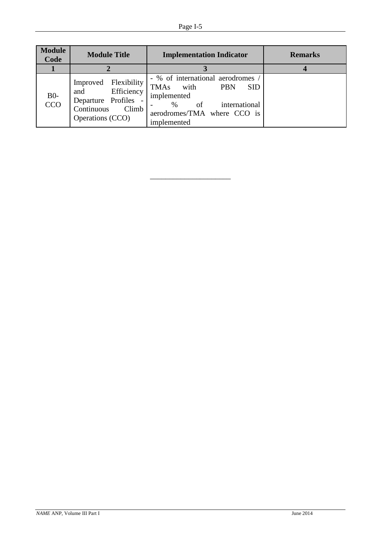| <b>Module</b><br>Code | <b>Module Title</b>                                                                                       | <b>Implementation Indicator</b>                                                                                                                                      | <b>Remarks</b> |
|-----------------------|-----------------------------------------------------------------------------------------------------------|----------------------------------------------------------------------------------------------------------------------------------------------------------------------|----------------|
|                       |                                                                                                           |                                                                                                                                                                      |                |
| B <sub>0</sub> -CCO   | Improved Flexibility<br>Efficiency<br>and<br>Departure Profiles -<br>Continuous Climb<br>Operations (CCO) | - % of international aerodromes<br>TMAs with<br><b>PBN</b><br><b>SID</b><br>implemented<br>of<br>international<br>$\%$<br>aerodromes/TMA where CCO is<br>implemented |                |

\_\_\_\_\_\_\_\_\_\_\_\_\_\_\_\_\_\_\_\_\_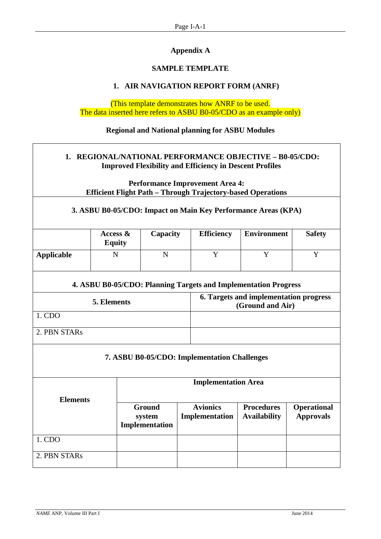# **Appendix A**

# **SAMPLE TEMPLATE**

# **1. AIR NAVIGATION REPORT FORM (ANRF)**

(This template demonstrates how ANRF to be used. The data inserted here refers to ASBU B0-05/CDO as an example only)

#### **Regional and National planning for ASBU Modules**

# **1. REGIONAL/NATIONAL PERFORMANCE OBJECTIVE – B0-05/CDO: Improved Flexibility and Efficiency in Descent Profiles**

**Performance Improvement Area 4: Efficient Flight Path – Through Trajectory-based Operations**

### **3. ASBU B0-05/CDO: Impact on Main Key Performance Areas (KPA)**

|            | Access $\&$<br><b>Equity</b> | Capacity | <b>Efficiency</b> | <b>Environment</b> | <b>Safety</b> |
|------------|------------------------------|----------|-------------------|--------------------|---------------|
| Applicable |                              |          |                   |                    |               |

### **4. ASBU B0-05/CDO: Planning Targets and Implementation Progress**

| 5. Elements  | 6. Targets and implementation progress<br>(Ground and Air) |
|--------------|------------------------------------------------------------|
| 1. CDO       |                                                            |
| 2. PBN STARs |                                                            |

#### **7. ASBU B0-05/CDO: Implementation Challenges**

| <b>Elements</b> | <b>Implementation Area</b>         |                                   |                                          |                                        |  |  |
|-----------------|------------------------------------|-----------------------------------|------------------------------------------|----------------------------------------|--|--|
|                 | Ground<br>system<br>Implementation | <b>Avionics</b><br>Implementation | <b>Procedures</b><br><b>Availability</b> | <b>Operational</b><br><b>Approvals</b> |  |  |
| 1. CDO          |                                    |                                   |                                          |                                        |  |  |
| 2. PBN STARs    |                                    |                                   |                                          |                                        |  |  |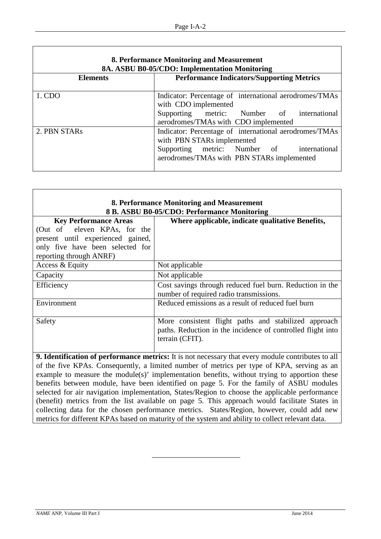| 8. Performance Monitoring and Measurement<br>8A. ASBU B0-05/CDO: Implementation Monitoring |                                                                                                                                                                                     |  |  |  |  |  |  |
|--------------------------------------------------------------------------------------------|-------------------------------------------------------------------------------------------------------------------------------------------------------------------------------------|--|--|--|--|--|--|
| <b>Performance Indicators/Supporting Metrics</b><br><b>Elements</b>                        |                                                                                                                                                                                     |  |  |  |  |  |  |
| 1. CDO                                                                                     | Indicator: Percentage of international aerodromes/TMAs<br>with CDO implemented<br>Supporting metric: Number of international<br>aerodromes/TMAs with CDO implemented                |  |  |  |  |  |  |
| 2. PBN STARs                                                                               | Indicator: Percentage of international aerodromes/TMAs<br>with PBN STARs implemented<br>Supporting metric: Number of<br>international<br>aerodromes/TMAs with PBN STARs implemented |  |  |  |  |  |  |

| 8. Performance Monitoring and Measurement                                                                 |                                                             |  |  |  |  |  |
|-----------------------------------------------------------------------------------------------------------|-------------------------------------------------------------|--|--|--|--|--|
|                                                                                                           | 8 B. ASBU B0-05/CDO: Performance Monitoring                 |  |  |  |  |  |
| <b>Key Performance Areas</b>                                                                              | Where applicable, indicate qualitative Benefits,            |  |  |  |  |  |
| (Out of eleven KPAs, for the                                                                              |                                                             |  |  |  |  |  |
| present until experienced gained,                                                                         |                                                             |  |  |  |  |  |
| only five have been selected for                                                                          |                                                             |  |  |  |  |  |
| reporting through ANRF)                                                                                   |                                                             |  |  |  |  |  |
| Access & Equity                                                                                           | Not applicable                                              |  |  |  |  |  |
| Capacity                                                                                                  | Not applicable                                              |  |  |  |  |  |
| Efficiency                                                                                                | Cost savings through reduced fuel burn. Reduction in the    |  |  |  |  |  |
|                                                                                                           | number of required radio transmissions.                     |  |  |  |  |  |
| Environment                                                                                               | Reduced emissions as a result of reduced fuel burn          |  |  |  |  |  |
|                                                                                                           |                                                             |  |  |  |  |  |
| Safety                                                                                                    | More consistent flight paths and stabilized approach        |  |  |  |  |  |
|                                                                                                           | paths. Reduction in the incidence of controlled flight into |  |  |  |  |  |
|                                                                                                           | terrain (CFIT).                                             |  |  |  |  |  |
|                                                                                                           |                                                             |  |  |  |  |  |
| <b>9. Identification of performance metrics:</b> It is not necessary that every module contributes to all |                                                             |  |  |  |  |  |

of the five KPAs. Consequently, a limited number of metrics per type of KPA, serving as an example to measure the module(s)' implementation benefits, without trying to apportion these benefits between module, have been identified on page 5. For the family of ASBU modules selected for air navigation implementation, States/Region to choose the applicable performance (benefit) metrics from the list available on page 5. This approach would facilitate States in collecting data for the chosen performance metrics. States/Region, however, could add new metrics for different KPAs based on maturity of the system and ability to collect relevant data.

\_\_\_\_\_\_\_\_\_\_\_\_\_\_\_\_\_\_\_\_\_\_\_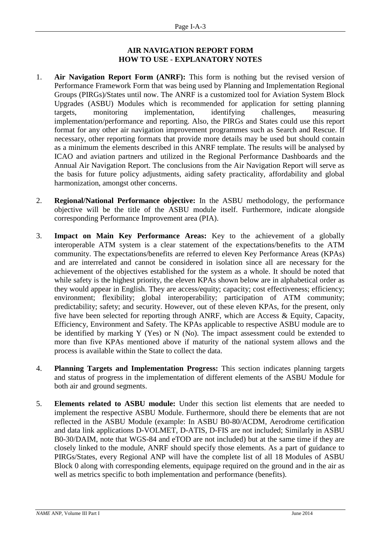#### **AIR NAVIGATION REPORT FORM HOW TO USE - EXPLANATORY NOTES**

- 1. **Air Navigation Report Form (ANRF):** This form is nothing but the revised version of Performance Framework Form that was being used by Planning and Implementation Regional Groups (PIRGs)/States until now. The ANRF is a customized tool for Aviation System Block Upgrades (ASBU) Modules which is recommended for application for setting planning targets, monitoring implementation, identifying challenges, measuring implementation/performance and reporting. Also, the PIRGs and States could use this report format for any other air navigation improvement programmes such as Search and Rescue. If necessary, other reporting formats that provide more details may be used but should contain as a minimum the elements described in this ANRF template. The results will be analysed by ICAO and aviation partners and utilized in the Regional Performance Dashboards and the Annual Air Navigation Report. The conclusions from the Air Navigation Report will serve as the basis for future policy adjustments, aiding safety practicality, affordability and global harmonization, amongst other concerns.
- 2. **Regional/National Performance objective:** In the ASBU methodology, the performance objective will be the title of the ASBU module itself. Furthermore, indicate alongside corresponding Performance Improvement area (PIA).
- 3. **Impact on Main Key Performance Areas:** Key to the achievement of a globally interoperable ATM system is a clear statement of the expectations/benefits to the ATM community. The expectations/benefits are referred to eleven Key Performance Areas (KPAs) and are interrelated and cannot be considered in isolation since all are necessary for the achievement of the objectives established for the system as a whole. It should be noted that while safety is the highest priority, the eleven KPAs shown below are in alphabetical order as they would appear in English. They are access/equity; capacity; cost effectiveness; efficiency; environment; flexibility; global interoperability; participation of ATM community; predictability; safety; and security. However, out of these eleven KPAs, for the present, only five have been selected for reporting through ANRF, which are Access & Equity, Capacity, Efficiency, Environment and Safety. The KPAs applicable to respective ASBU module are to be identified by marking Y (Yes) or N (No). The impact assessment could be extended to more than five KPAs mentioned above if maturity of the national system allows and the process is available within the State to collect the data.
- 4. **Planning Targets and Implementation Progress:** This section indicates planning targets and status of progress in the implementation of different elements of the ASBU Module for both air and ground segments.
- 5. **Elements related to ASBU module:** Under this section list elements that are needed to implement the respective ASBU Module. Furthermore, should there be elements that are not reflected in the ASBU Module (example: In ASBU B0-80/ACDM, Aerodrome certification and data link applications D-VOLMET, D-ATIS, D-FIS are not included; Similarly in ASBU B0-30/DAIM, note that WGS-84 and eTOD are not included) but at the same time if they are closely linked to the module, ANRF should specify those elements. As a part of guidance to PIRGs/States, every Regional ANP will have the complete list of all 18 Modules of ASBU Block 0 along with corresponding elements, equipage required on the ground and in the air as well as metrics specific to both implementation and performance (benefits).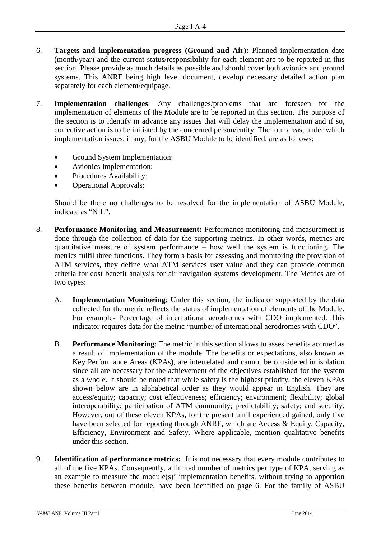- 6. **Targets and implementation progress (Ground and Air):** Planned implementation date (month/year) and the current status/responsibility for each element are to be reported in this section. Please provide as much details as possible and should cover both avionics and ground systems. This ANRF being high level document, develop necessary detailed action plan separately for each element/equipage.
- 7. **Implementation challenges**: Any challenges/problems that are foreseen for the implementation of elements of the Module are to be reported in this section. The purpose of the section is to identify in advance any issues that will delay the implementation and if so, corrective action is to be initiated by the concerned person/entity. The four areas, under which implementation issues, if any, for the ASBU Module to be identified, are as follows:
	- Ground System Implementation:
	- Avionics Implementation:
	- Procedures Availability:
	- Operational Approvals:

Should be there no challenges to be resolved for the implementation of ASBU Module, indicate as "NIL".

- 8. **Performance Monitoring and Measurement:** Performance monitoring and measurement is done through the collection of data for the supporting metrics. In other words, metrics are quantitative measure of system performance – how well the system is functioning. The metrics fulfil three functions. They form a basis for assessing and monitoring the provision of ATM services, they define what ATM services user value and they can provide common criteria for cost benefit analysis for air navigation systems development. The Metrics are of two types:
	- A. **Implementation Monitoring**: Under this section, the indicator supported by the data collected for the metric reflects the status of implementation of elements of the Module. For example- Percentage of international aerodromes with CDO implemented. This indicator requires data for the metric "number of international aerodromes with CDO".
	- B. **Performance Monitoring**: The metric in this section allows to asses benefits accrued as a result of implementation of the module. The benefits or expectations, also known as Key Performance Areas (KPAs), are interrelated and cannot be considered in isolation since all are necessary for the achievement of the objectives established for the system as a whole. It should be noted that while safety is the highest priority, the eleven KPAs shown below are in alphabetical order as they would appear in English. They are access/equity; capacity; cost effectiveness; efficiency; environment; flexibility; global interoperability; participation of ATM community; predictability; safety; and security. However, out of these eleven KPAs, for the present until experienced gained, only five have been selected for reporting through ANRF, which are Access & Equity, Capacity, Efficiency, Environment and Safety. Where applicable, mention qualitative benefits under this section.
- 9. **Identification of performance metrics:** It is not necessary that every module contributes to all of the five KPAs. Consequently, a limited number of metrics per type of KPA, serving as an example to measure the module(s)' implementation benefits, without trying to apportion these benefits between module, have been identified on page 6. For the family of ASBU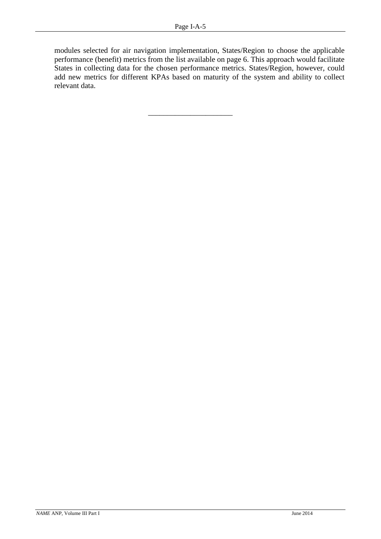\_\_\_\_\_\_\_\_\_\_\_\_\_\_\_\_\_\_\_\_\_\_

modules selected for air navigation implementation, States/Region to choose the applicable performance (benefit) metrics from the list available on page 6. This approach would facilitate States in collecting data for the chosen performance metrics. States/Region, however, could add new metrics for different KPAs based on maturity of the system and ability to collect relevant data.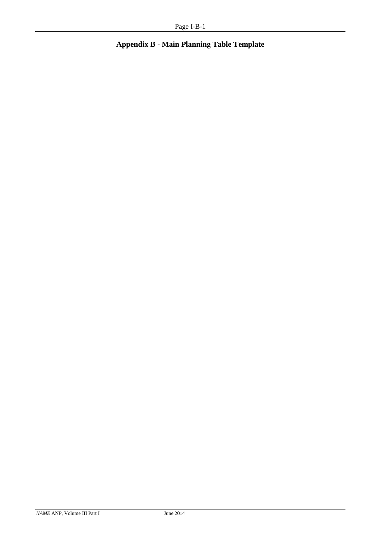# **Appendix B - Main Planning Table Template**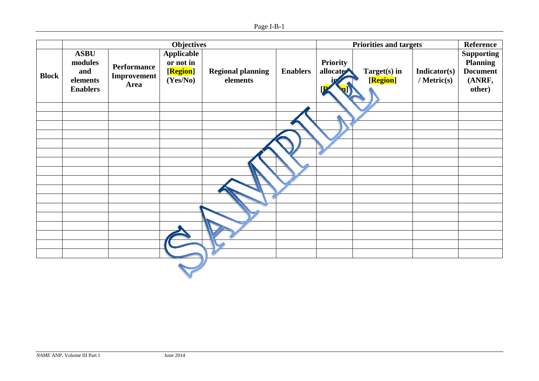|              | <b>Objectives</b>                                            |                                    |                                                        |                                      | <b>Priorities and targets</b> |                             |                          | Reference                   |                                                                             |
|--------------|--------------------------------------------------------------|------------------------------------|--------------------------------------------------------|--------------------------------------|-------------------------------|-----------------------------|--------------------------|-----------------------------|-----------------------------------------------------------------------------|
| <b>Block</b> | <b>ASBU</b><br>modules<br>and<br>elements<br><b>Enablers</b> | Performance<br>Improvement<br>Area | <b>Applicable</b><br>or not in<br>[Region]<br>(Yes/No) | <b>Regional planning</b><br>elements | <b>Enablers</b>               | <b>Priority</b><br>allocate | Target(s) in<br>[Region] | Indicator(s)<br>/ Metric(s) | <b>Supporting</b><br><b>Planning</b><br><b>Document</b><br>(ANRF,<br>other) |
|              |                                                              |                                    |                                                        |                                      |                               |                             |                          |                             |                                                                             |
|              |                                                              |                                    |                                                        |                                      |                               |                             |                          |                             |                                                                             |
|              |                                                              |                                    |                                                        |                                      |                               |                             |                          |                             |                                                                             |
|              |                                                              |                                    |                                                        |                                      |                               |                             |                          |                             |                                                                             |
|              |                                                              |                                    |                                                        |                                      |                               |                             |                          |                             |                                                                             |
|              |                                                              |                                    |                                                        |                                      |                               |                             |                          |                             |                                                                             |
|              |                                                              |                                    |                                                        |                                      |                               |                             |                          |                             |                                                                             |
|              |                                                              |                                    |                                                        |                                      |                               |                             |                          |                             |                                                                             |
|              |                                                              |                                    |                                                        |                                      |                               |                             |                          |                             |                                                                             |
|              |                                                              |                                    |                                                        |                                      |                               |                             |                          |                             |                                                                             |
|              |                                                              |                                    |                                                        |                                      |                               |                             |                          |                             |                                                                             |
|              |                                                              |                                    |                                                        |                                      |                               |                             |                          |                             |                                                                             |
|              |                                                              |                                    |                                                        |                                      |                               |                             |                          |                             |                                                                             |
|              |                                                              |                                    |                                                        |                                      |                               |                             |                          |                             |                                                                             |
|              |                                                              |                                    |                                                        |                                      |                               |                             |                          |                             |                                                                             |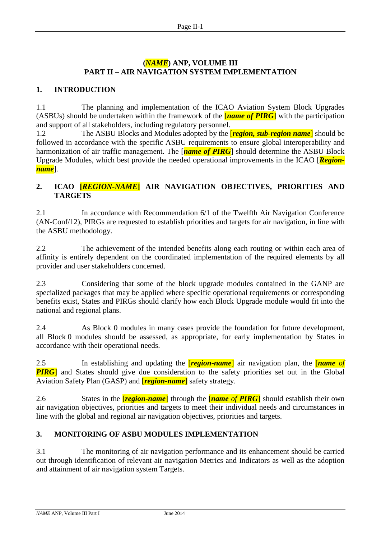#### **(***NAME***) ANP, VOLUME III PART II – AIR NAVIGATION SYSTEM IMPLEMENTATION**

#### **1. INTRODUCTION**

1.1 The planning and implementation of the ICAO Aviation System Block Upgrades (ASBUs) should be undertaken within the framework of the [*name of PIRG*] with the participation and support of all stakeholders, including regulatory personnel.

1.2 The ASBU Blocks and Modules adopted by the [*region, sub-region name*] should be followed in accordance with the specific ASBU requirements to ensure global interoperability and harmonization of air traffic management. The [*name of PIRG*] should determine the ASBU Block Upgrade Modules, which best provide the needed operational improvements in the ICAO [*Regionname*].

## **2. ICAO [***REGION-NAME***] AIR NAVIGATION OBJECTIVES, PRIORITIES AND TARGETS**

2.1 In accordance with Recommendation 6/1 of the Twelfth Air Navigation Conference (AN-Conf/12), PIRGs are requested to establish priorities and targets for air navigation, in line with the ASBU methodology.

2.2 The achievement of the intended benefits along each routing or within each area of affinity is entirely dependent on the coordinated implementation of the required elements by all provider and user stakeholders concerned.

2.3 Considering that some of the block upgrade modules contained in the GANP are specialized packages that may be applied where specific operational requirements or corresponding benefits exist, States and PIRGs should clarify how each Block Upgrade module would fit into the national and regional plans.

2.4 As Block 0 modules in many cases provide the foundation for future development, all Block 0 modules should be assessed, as appropriate, for early implementation by States in accordance with their operational needs.

2.5 In establishing and updating the [*region-name*] air navigation plan, the [*name of*  **PIRG**] and States should give due consideration to the safety priorities set out in the Global Aviation Safety Plan (GASP) and [*region-name*] safety strategy.

2.6 States in the [*region-name*] through the [*name of PIRG*] should establish their own air navigation objectives, priorities and targets to meet their individual needs and circumstances in line with the global and regional air navigation objectives, priorities and targets.

### **3. MONITORING OF ASBU MODULES IMPLEMENTATION**

3.1 The monitoring of air navigation performance and its enhancement should be carried out through identification of relevant air navigation Metrics and Indicators as well as the adoption and attainment of air navigation system Targets.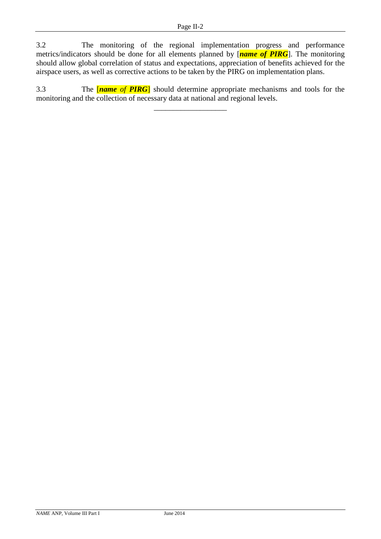3.2 The monitoring of the regional implementation progress and performance metrics/indicators should be done for all elements planned by [*name of PIRG*]. The monitoring should allow global correlation of status and expectations, appreciation of benefits achieved for the airspace users, as well as corrective actions to be taken by the PIRG on implementation plans.

3.3 The [*name of PIRG*] should determine appropriate mechanisms and tools for the monitoring and the collection of necessary data at national and regional levels.

\_\_\_\_\_\_\_\_\_\_\_\_\_\_\_\_\_\_\_